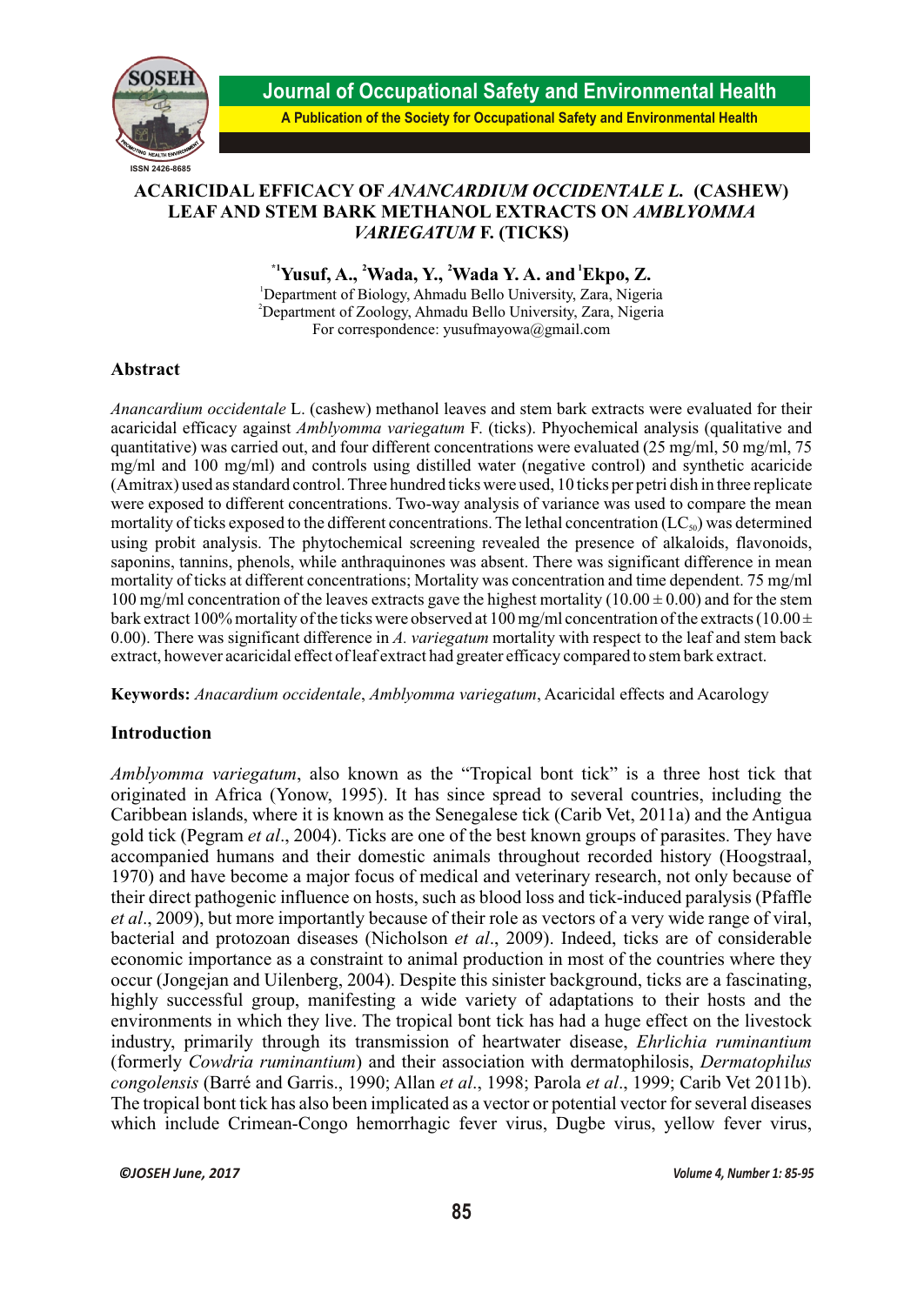

**Journal of Occupational Safety and Environmental Health**

# **A Publication of the Society for Occupational Safety and Environmental Health**

# **ACARICIDAL EFFICACY OF** *ANANCARDIUM OCCIDENTALE L.* **(CASHEW) LEAF AND STEM BARK METHANOL EXTRACTS ON** *AMBLYOMMA VARIEGATUM* **F. (TICKS)**

**\*1 <sup>2</sup> 2 1 Yusuf, A., Wada, Y., Wada Y. A. and Ekpo, Z.**

<sup>1</sup>Department of Biology, Ahmadu Bello University, Zara, Nigeria <sup>2</sup>Department of Zoology, Ahmadu Bello University, Zara, Nigeria For correspondence: yusufmayowa@gmail.com

# **Abstract**

*Anancardium occidentale* L. (cashew) methanol leaves and stem bark extracts were evaluated for their acaricidal efficacy against *Amblyomma variegatum* F. (ticks). Phyochemical analysis (qualitative and quantitative) was carried out, and four different concentrations were evaluated (25 mg/ml, 50 mg/ml, 75 mg/ml and 100 mg/ml) and controls using distilled water (negative control) and synthetic acaricide (Amitrax) used as standard control. Three hundred ticks were used, 10 ticks per petri dish in three replicate were exposed to different concentrations. Two-way analysis of variance was used to compare the mean mortality of ticks exposed to the different concentrations. The lethal concentration (LC $_{so}$ ) was determined using probit analysis. The phytochemical screening revealed the presence of alkaloids, flavonoids, saponins, tannins, phenols, while anthraquinones was absent. There was significant difference in mean mortality of ticks at different concentrations; Mortality was concentration and time dependent. 75 mg/ml 100 mg/ml concentration of the leaves extracts gave the highest mortality ( $10.00 \pm 0.00$ ) and for the stem bark extract 100% mortality of the ticks were observed at 100 mg/ml concentration of the extracts (10.00  $\pm$ 0.00). There was significant difference in *A. variegatum* mortality with respect to the leaf and stem back extract, however acaricidal effect of leaf extract had greater efficacy compared to stem bark extract.

**Keywords:** *Anacardium occidentale*, *Amblyomma variegatum*, Acaricidal effects and Acarology

## **Introduction**

*Amblyomma variegatum*, also known as the "Tropical bont tick" is a three host tick that originated in Africa (Yonow, 1995). It has since spread to several countries, including the Caribbean islands, where it is known as the Senegalese tick (Carib Vet, 2011a) and the Antigua gold tick (Pegram *et al*., 2004). Ticks are one of the best known groups of parasites. They have accompanied humans and their domestic animals throughout recorded history (Hoogstraal, 1970) and have become a major focus of medical and veterinary research, not only because of their direct pathogenic influence on hosts, such as blood loss and tick-induced paralysis (Pfaffle *et al*., 2009), but more importantly because of their role as vectors of a very wide range of viral, bacterial and protozoan diseases (Nicholson *et al*., 2009). Indeed, ticks are of considerable economic importance as a constraint to animal production in most of the countries where they occur (Jongejan and Uilenberg, 2004). Despite this sinister background, ticks are a fascinating, highly successful group, manifesting a wide variety of adaptations to their hosts and the environments in which they live. The tropical bont tick has had a huge effect on the livestock industry, primarily through its transmission of heartwater disease, *Ehrlichia ruminantium* (formerly *Cowdria ruminantium*) and their association with dermatophilosis, *Dermatophilus congolensis* (Barré and Garris., 1990; Allan *et al*., 1998; Parola *et al*., 1999; Carib Vet 2011b). The tropical bont tick has also been implicated as a vector or potential vector for several diseases which include Crimean-Congo hemorrhagic fever virus, Dugbe virus, yellow fever virus,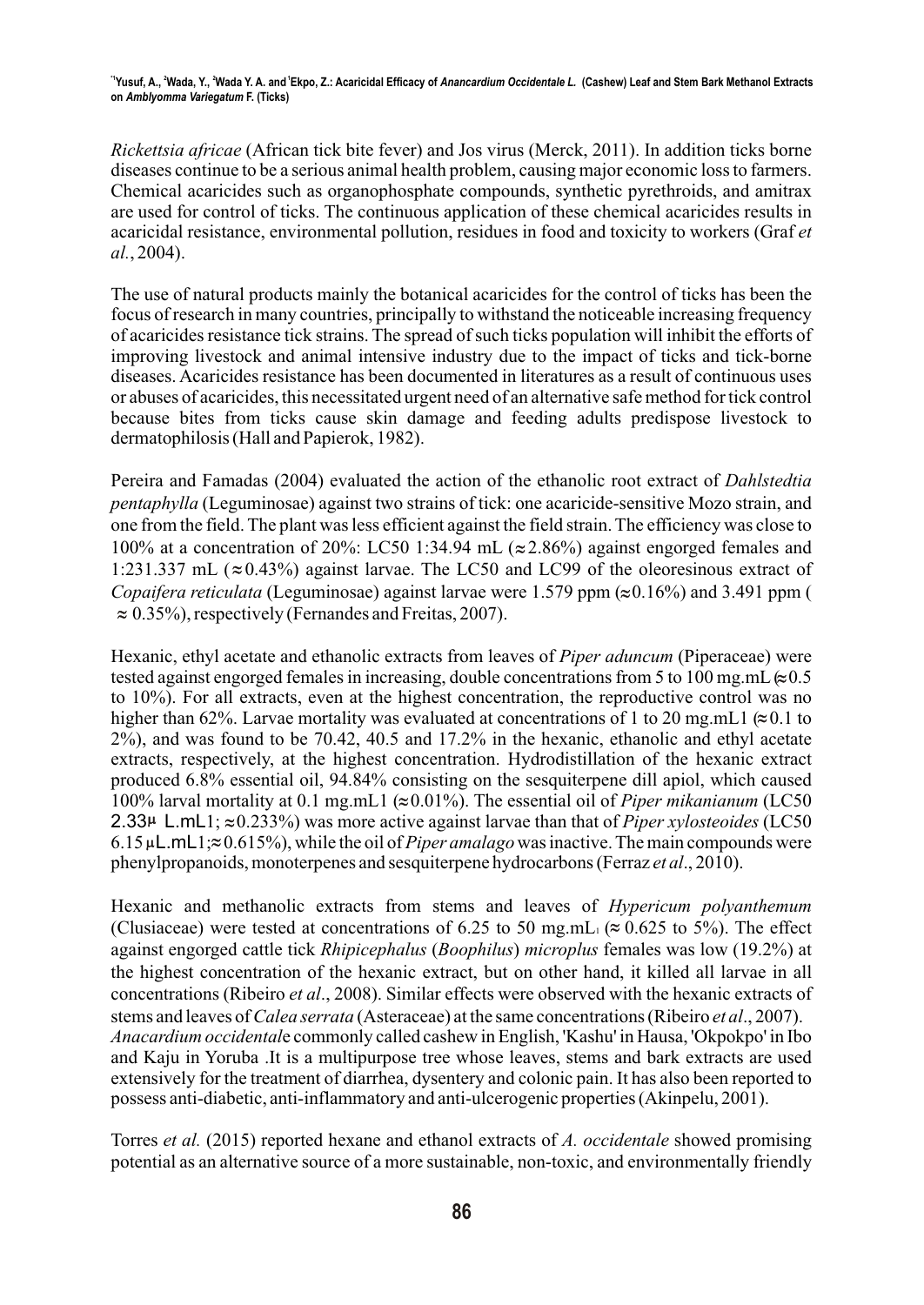*Rickettsia africae* (African tick bite fever) and Jos virus (Merck, 2011). In addition ticks borne diseases continue to be a serious animal health problem, causing major economic loss to farmers. Chemical acaricides such as organophosphate compounds, synthetic pyrethroids, and amitrax are used for control of ticks. The continuous application of these chemical acaricides results in acaricidal resistance, environmental pollution, residues in food and toxicity to workers (Graf *et al.*, 2004).

The use of natural products mainly the botanical acaricides for the control of ticks has been the focus of research in many countries, principally to withstand the noticeable increasing frequency of acaricides resistance tick strains. The spread of such ticks population will inhibit the efforts of improving livestock and animal intensive industry due to the impact of ticks and tick-borne diseases. Acaricides resistance has been documented in literatures as a result of continuous uses or abuses of acaricides, this necessitated urgent need of an alternative safe method for tick control because bites from ticks cause skin damage and feeding adults predispose livestock to dermatophilosis (Hall and Papierok, 1982).

Pereira and Famadas (2004) evaluated the action of the ethanolic root extract of *Dahlstedtia pentaphylla* (Leguminosae) against two strains of tick: one acaricide-sensitive Mozo strain, and one from the field. The plant was less efficient against the field strain. The efficiency was close to 100% at a concentration of 20%: LC50 1:34.94 mL ( $\approx$  2.86%) against engorged females and 1:231.337 mL ( $\approx$  0.43%) against larvae. The LC50 and LC99 of the oleoresinous extract of *Copaifera reticulata* (Leguminosae) against larvae were 1.579 ppm  $(\approx 0.16\%)$  and 3.491 ppm (  $\approx 0.35\%$ ), respectively (Fernandes and Freitas, 2007).

Hexanic, ethyl acetate and ethanolic extracts from leaves of *Piper aduncum* (Piperaceae) were tested against engorged females in increasing, double concentrations from 5 to 100 mg.mL  $\approx 0.5$ to 10%). For all extracts, even at the highest concentration, the reproductive control was no higher than 62%. Larvae mortality was evaluated at concentrations of 1 to 20 mg.mL1  $(\approx 0.1 \text{ to }$ 2%), and was found to be 70.42, 40.5 and 17.2% in the hexanic, ethanolic and ethyl acetate extracts, respectively, at the highest concentration. Hydrodistillation of the hexanic extract produced 6.8% essential oil, 94.84% consisting on the sesquiterpene dill apiol, which caused 100% larval mortality at 0.1 mg.mL1 ( $\approx$ 0.01%). The essential oil of *Piper mikanianum* (LC50 2.33 $\mu$  L.mL1;  $\approx 0.233\%$ ) was more active against larvae than that of *Piper xylosteoides* (LC50  $6.15 \mu L.mL1 \approx 0.615\%$ , while the oil of *Piper amalago* was inactive. The main compounds were phenylpropanoids, monoterpenes and sesquiterpene hydrocarbons (Ferraz *et al*., 2010).

Hexanic and methanolic extracts from stems and leaves of *Hypericum polyanthemum*  (Clusiaceae) were tested at concentrations of 6.25 to 50 mg.mL $\approx 0.625$  to 5%). The effect against engorged cattle tick *Rhipicephalus* (*Boophilus*) *microplus* females was low (19.2%) at the highest concentration of the hexanic extract, but on other hand, it killed all larvae in all concentrations (Ribeiro *et al*., 2008). Similar effects were observed with the hexanic extracts of stems and leaves of *Calea serrata* (Asteraceae) at the same concentrations (Ribeiro *et al*., 2007). *Anacardium occidental*e commonly called cashew in English, 'Kashu' in Hausa, 'Okpokpo' in Ibo and Kaju in Yoruba .It is a multipurpose tree whose leaves, stems and bark extracts are used extensively for the treatment of diarrhea, dysentery and colonic pain. It has also been reported to possess anti-diabetic, anti-inflammatory and anti-ulcerogenic properties (Akinpelu, 2001).

Torres *et al.* (2015) reported hexane and ethanol extracts of *A. occidentale* showed promising potential as an alternative source of a more sustainable, non-toxic, and environmentally friendly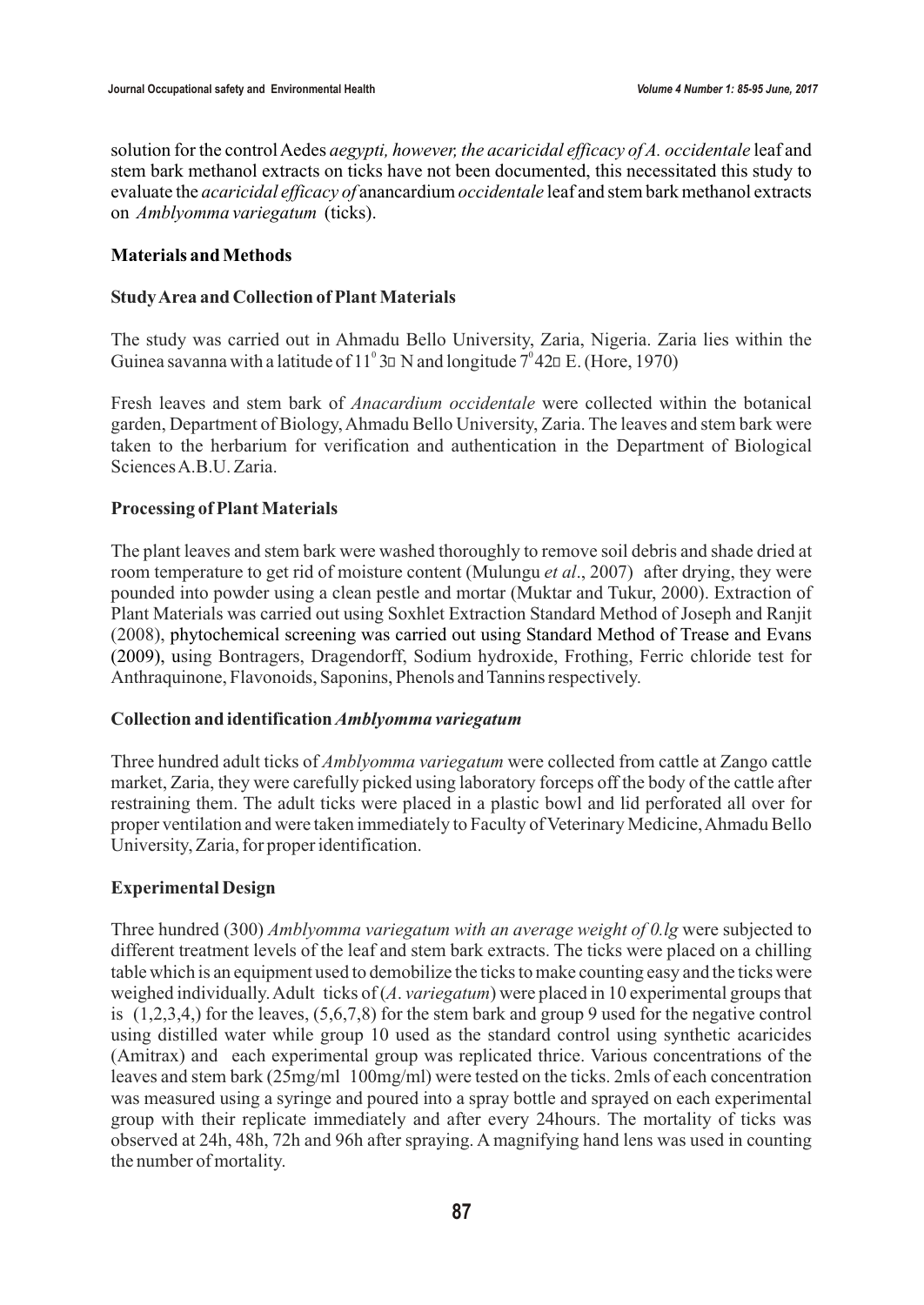solution for the control Aedes *aegypti, however, the acaricidal efficacy of A. occidentale* leaf and stem bark methanol extracts on ticks have not been documented, this necessitated this study to evaluate the *acaricidal efficacy of* anancardium *occidentale* leaf and stem bark methanol extracts on *Amblyomma variegatum* (ticks).

## **Materials and Methods**

## **Study Area and Collection of Plant Materials**

The study was carried out in Ahmadu Bello University, Zaria, Nigeria. Zaria lies within the Guinea savanna with a latitude of  $11^{\circ}$  3 $\Box$  N and longitude  $7^{\circ}$  42 $\Box$  E. (Hore, 1970)

Fresh leaves and stem bark of *Anacardium occidentale* were collected within the botanical garden, Department of Biology, Ahmadu Bello University, Zaria. The leaves and stem bark were taken to the herbarium for verification and authentication in the Department of Biological Sciences A.B.U. Zaria.

# **Processing of Plant Materials**

(2008), phytochemical screening was carried out using Standard Method of Trease and Evans (2009), u sing Bontragers, Dragendorff, Sodium hydroxide, Frothing, Ferric chloride test for The plant leaves and stem bark were washed thoroughly to remove soil debris and shade dried at room temperature to get rid of moisture content (Mulungu *et al*., 2007) after drying, they were pounded into powder using a clean pestle and mortar (Muktar and Tukur, 2000). Extraction of Plant Materials was carried out using Soxhlet Extraction Standard Method of Joseph and Ranjit Anthraquinone, Flavonoids, Saponins, Phenols and Tannins respectively.

## **Collection and identification** *Amblyomma variegatum*

Three hundred adult ticks of *Amblyomma variegatum* were collected from cattle at Zango cattle market, Zaria, they were carefully picked using laboratory forceps off the body of the cattle after restraining them. The adult ticks were placed in a plastic bowl and lid perforated all over for proper ventilation and were taken immediately to Faculty of Veterinary Medicine, Ahmadu Bello University, Zaria, for proper identification.

# **Experimental Design**

Three hundred (300) *Amblyomma variegatum with an average weight of 0.lg* were subjected to different treatment levels of the leaf and stem bark extracts. The ticks were placed on a chilling table which is an equipment used to demobilize the ticks to make counting easy and the ticks were weighed individually. Adult ticks of (*A*. *variegatum*) were placed in 10 experimental groups that is  $(1,2,3,4)$  for the leaves,  $(5,6,7,8)$  for the stem bark and group 9 used for the negative control using distilled water while group 10 used as the standard control using synthetic acaricides (Amitrax) and each experimental group was replicated thrice. Various concentrations of the leaves and stem bark (25mg/ml 100mg/ml) were tested on the ticks. 2mls of each concentration was measured using a syringe and poured into a spray bottle and sprayed on each experimental group with their replicate immediately and after every 24hours. The mortality of ticks was observed at 24h, 48h, 72h and 96h after spraying. A magnifying hand lens was used in counting the number of mortality.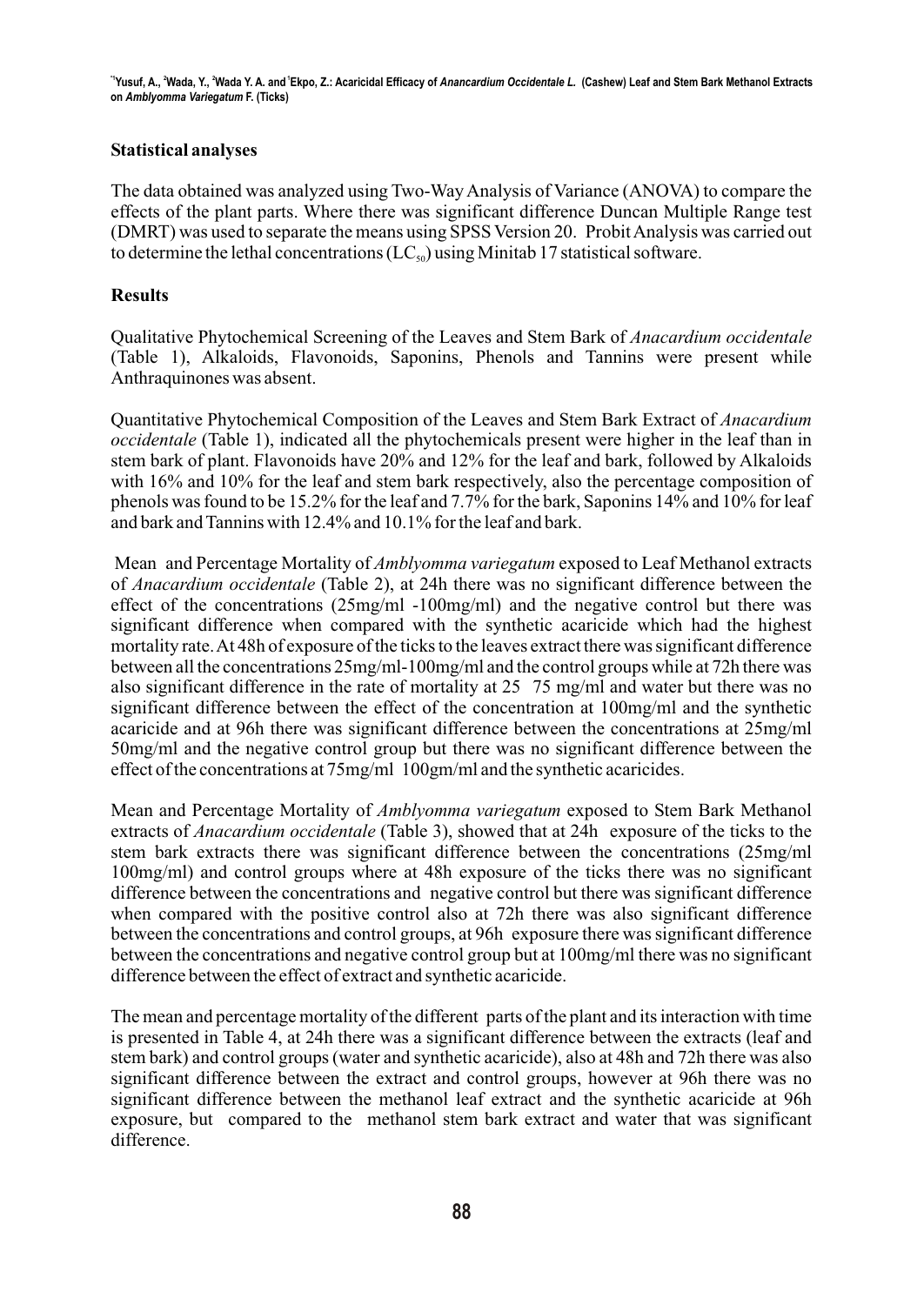## **Statistical analyses**

The data obtained was analyzed using Two-Way Analysis of Variance (ANOVA) to compare the effects of the plant parts. Where there was significant difference Duncan Multiple Range test (DMRT) was used to separate the means using SPSS Version 20. Probit Analysis was carried out to determine the lethal concentrations  $(LC_{\rm so})$  using Minitab 17 statistical software.

# **Results**

Qualitative Phytochemical Screening of the Leaves and Stem Bark of *Anacardium occidentale*  (Table 1), Alkaloids, Flavonoids, Saponins, Phenols and Tannins were present while Anthraquinones was absent.

Quantitative Phytochemical Composition of the Leaves and Stem Bark Extract of *Anacardium occidentale* (Table 1), indicated all the phytochemicals present were higher in the leaf than in stem bark of plant. Flavonoids have 20% and 12% for the leaf and bark, followed by Alkaloids with 16% and 10% for the leaf and stem bark respectively, also the percentage composition of phenols was found to be 15.2% for the leaf and 7.7% for the bark, Saponins 14% and 10% for leaf and bark and Tannins with 12.4% and 10.1% for the leaf and bark.

 Mean and Percentage Mortality of *Amblyomma variegatum* exposed to Leaf Methanol extracts of *Anacardium occidentale* (Table 2), at 24h there was no significant difference between the effect of the concentrations  $(25mg/ml -100mg/ml)$  and the negative control but there was significant difference when compared with the synthetic acaricide which had the highest mortality rate. At 48h of exposure of the ticks to the leaves extract there was significant difference between all the concentrations 25mg/ml-100mg/ml and the control groups while at 72h there was also significant difference in the rate of mortality at 25 75 mg/ml and water but there was no significant difference between the effect of the concentration at 100mg/ml and the synthetic acaricide and at 96h there was significant difference between the concentrations at 25mg/ml 50mg/ml and the negative control group but there was no significant difference between the effect of the concentrations at 75mg/ml 100gm/ml and the synthetic acaricides.

Mean and Percentage Mortality of *Amblyomma variegatum* exposed to Stem Bark Methanol extracts of *Anacardium occidentale* (Table 3), showed that at 24h exposure of the ticks to the stem bark extracts there was significant difference between the concentrations (25mg/ml 100mg/ml) and control groups where at 48h exposure of the ticks there was no significant difference between the concentrations and negative control but there was significant difference when compared with the positive control also at 72h there was also significant difference between the concentrations and control groups, at 96h exposure there was significant difference between the concentrations and negative control group but at 100mg/ml there was no significant difference between the effect of extract and synthetic acaricide.

The mean and percentage mortality of the different parts of the plant and its interaction with time is presented in Table 4, at 24h there was a significant difference between the extracts (leaf and stem bark) and control groups (water and synthetic acaricide), also at 48h and 72h there was also significant difference between the extract and control groups, however at 96h there was no significant difference between the methanol leaf extract and the synthetic acaricide at 96h exposure, but compared to the methanol stem bark extract and water that was significant difference.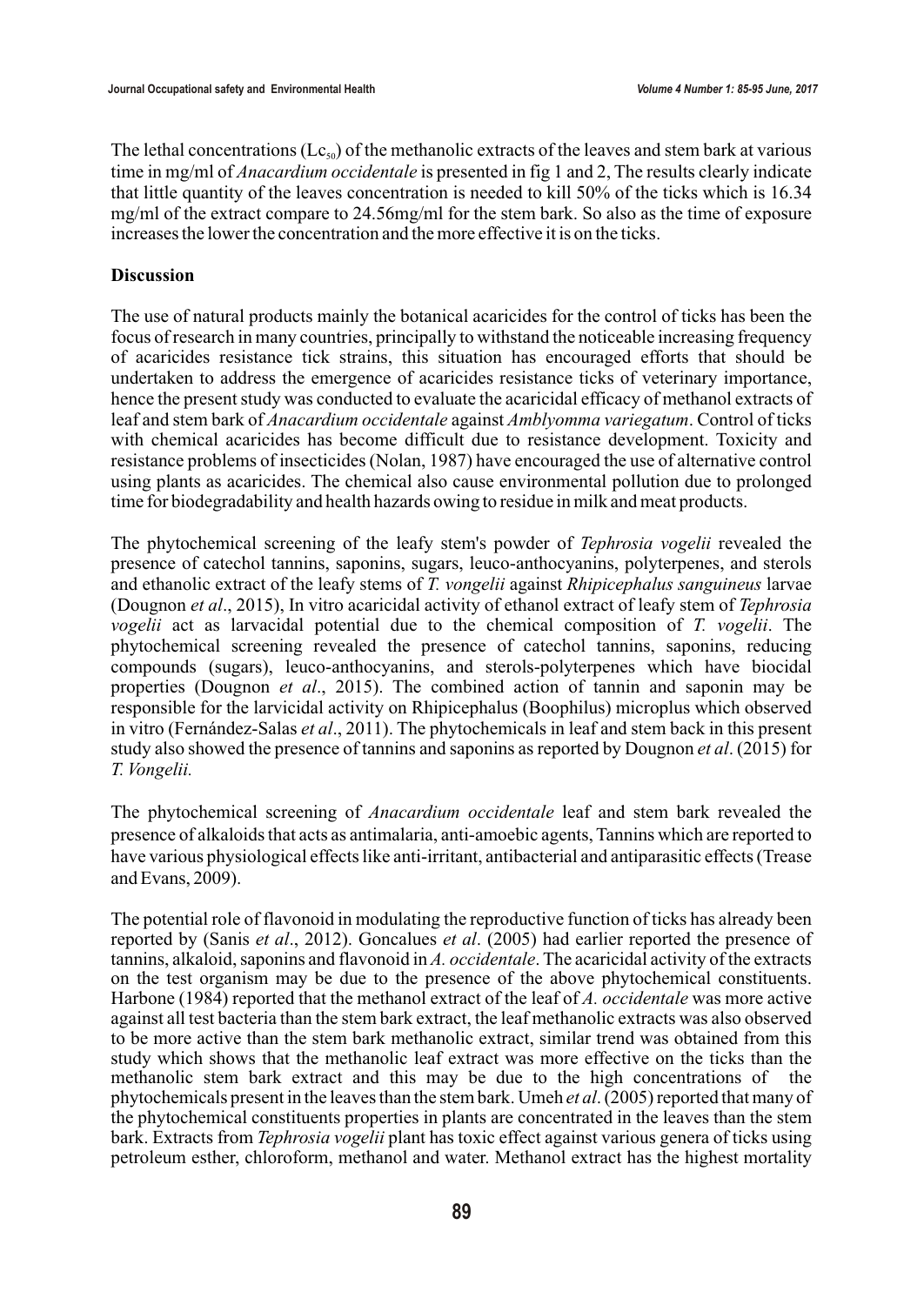The lethal concentrations ( $\text{Lc}_{\text{so}}$ ) of the methanolic extracts of the leaves and stem bark at various time in mg/ml of *Anacardium occidentale* is presented in fig 1 and 2, The results clearly indicate that little quantity of the leaves concentration is needed to kill 50% of the ticks which is 16.34 mg/ml of the extract compare to 24.56mg/ml for the stem bark. So also as the time of exposure increases the lower the concentration and the more effective it is on the ticks.

#### **Discussion**

The use of natural products mainly the botanical acaricides for the control of ticks has been the focus of research in many countries, principally to withstand the noticeable increasing frequency of acaricides resistance tick strains, this situation has encouraged efforts that should be undertaken to address the emergence of acaricides resistance ticks of veterinary importance, hence the present study was conducted to evaluate the acaricidal efficacy of methanol extracts of leaf and stem bark of *Anacardium occidentale* against *Amblyomma variegatum*. Control of ticks with chemical acaricides has become difficult due to resistance development. Toxicity and resistance problems of insecticides (Nolan, 1987) have encouraged the use of alternative control using plants as acaricides. The chemical also cause environmental pollution due to prolonged time for biodegradability and health hazards owing to residue in milk and meat products.

The phytochemical screening of the leafy stem's powder of *Tephrosia vogelii* revealed the presence of catechol tannins, saponins, sugars, leuco-anthocyanins, polyterpenes, and sterols and ethanolic extract of the leafy stems of *T. vongelii* against *Rhipicephalus sanguineus* larvae (Dougnon *et al*., 2015), In vitro acaricidal activity of ethanol extract of leafy stem of *Tephrosia vogelii* act as larvacidal potential due to the chemical composition of *T. vogelii*. The phytochemical screening revealed the presence of catechol tannins, saponins, reducing compounds (sugars), leuco-anthocyanins, and sterols-polyterpenes which have biocidal properties (Dougnon *et al*., 2015). The combined action of tannin and saponin may be responsible for the larvicidal activity on Rhipicephalus (Boophilus) microplus which observed in vitro (Fernández-Salas *et al*., 2011). The phytochemicals in leaf and stem back in this present study also showed the presence of tannins and saponins as reported by Dougnon *et al*. (2015) for *T. Vongelii.*

The phytochemical screening of *Anacardium occidentale* leaf and stem bark revealed the presence of alkaloids that acts as antimalaria, anti-amoebic agents, Tannins which are reported to have various physiological effects like anti-irritant, antibacterial and antiparasitic effects (Trease and Evans, 2009).

The potential role of flavonoid in modulating the reproductive function of ticks has already been reported by (Sanis *et al*., 2012). Goncalues *et al*. (2005) had earlier reported the presence of tannins, alkaloid, saponins and flavonoid in *A. occidentale*. The acaricidal activity of the extracts on the test organism may be due to the presence of the above phytochemical constituents. Harbone (1984) reported that the methanol extract of the leaf of *A. occidentale* was more active against all test bacteria than the stem bark extract, the leaf methanolic extracts was also observed to be more active than the stem bark methanolic extract, similar trend was obtained from this study which shows that the methanolic leaf extract was more effective on the ticks than the methanolic stem bark extract and this may be due to the high concentrations of the phytochemicals present in the leaves than the stem bark. Umeh *et al*. (2005) reported that many of the phytochemical constituents properties in plants are concentrated in the leaves than the stem bark. Extracts from *Tephrosia vogelii* plant has toxic effect against various genera of ticks using petroleum esther, chloroform, methanol and water. Methanol extract has the highest mortality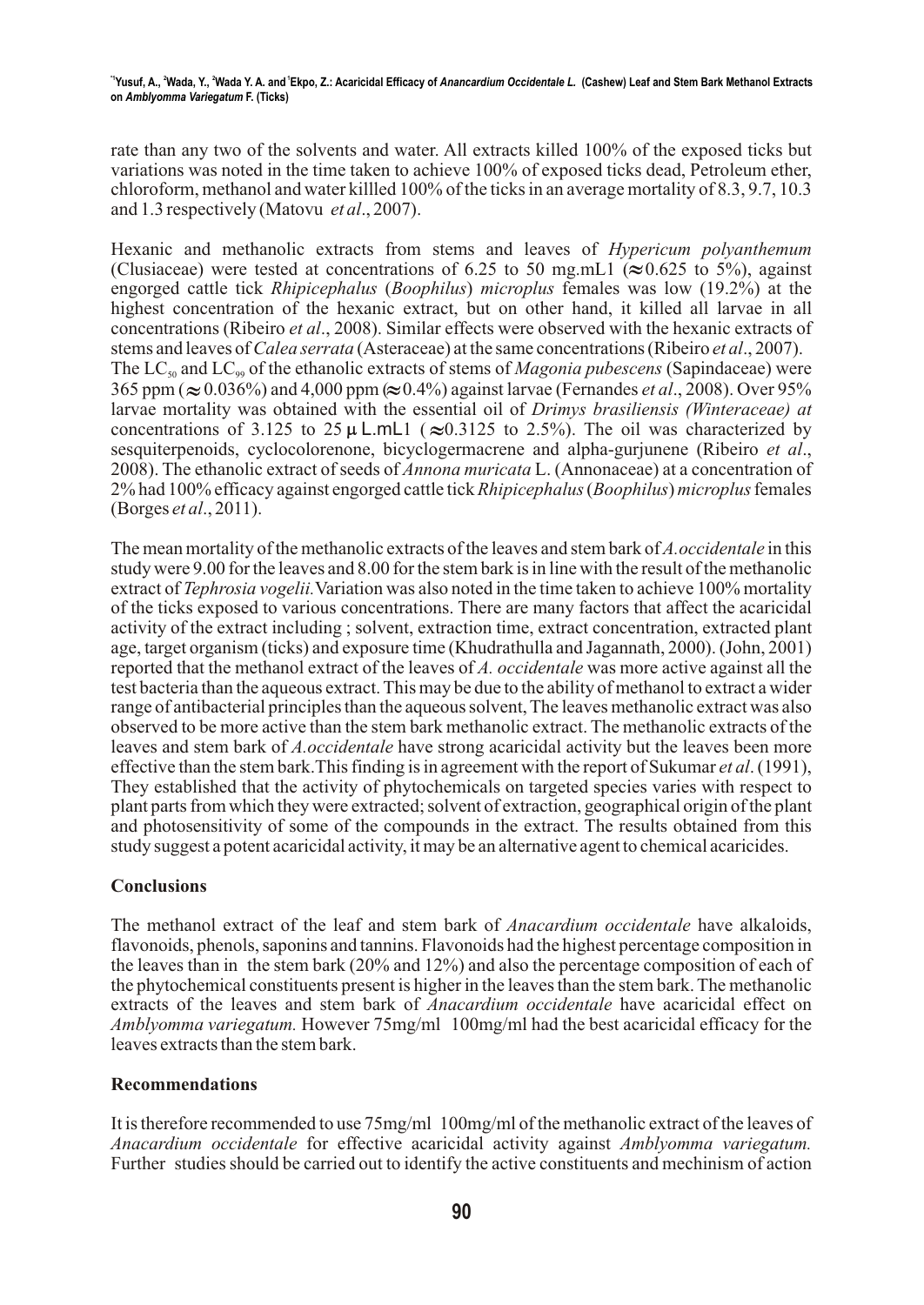rate than any two of the solvents and water. All extracts killed 100% of the exposed ticks but variations was noted in the time taken to achieve 100% of exposed ticks dead, Petroleum ether, chloroform, methanol and water killled 100% of the ticks in an average mortality of 8.3, 9.7, 10.3 and 1.3 respectively (Matovu *et al*., 2007).

Hexanic and methanolic extracts from stems and leaves of *Hypericum polyanthemum*  (Clusiaceae) were tested at concentrations of 6.25 to 50 mg.mL1 ( $\approx$  0.625 to 5%), against engorged cattle tick *Rhipicephalus* (*Boophilus*) *microplus* females was low (19.2%) at the highest concentration of the hexanic extract, but on other hand, it killed all larvae in all concentrations (Ribeiro *et al*., 2008). Similar effects were observed with the hexanic extracts of stems and leaves of *Calea serrata* (Asteraceae) at the same concentrations (Ribeiro *et al*., 2007). The LC<sub>50</sub> and LC<sub>99</sub> of the ethanolic extracts of stems of *Magonia pubescens* (Sapindaceae) were 365 ppm ( $\approx 0.036\%$ ) and 4,000 ppm ( $\approx 0.4\%$ ) against larvae (Fernandes *et al.*, 2008). Over 95% larvae mortality was obtained with the essential oil of *Drimys brasiliensis (Winteraceae) at* concentrations of 3.125 to 25  $\mu$  L.mL1 ( $\approx 0.3125$  to 2.5%). The oil was characterized by sesquiterpenoids, cyclocolorenone, bicyclogermacrene and alpha-gurjunene (Ribeiro *et al*., 2008). The ethanolic extract of seeds of *Annona muricata* L. (Annonaceae) at a concentration of 2% had 100% efficacy against engorged cattle tick *Rhipicephalus* (*Boophilus*) *microplus* females (Borges *et al*., 2011).

The mean mortality of the methanolic extracts of the leaves and stem bark of *A.occidentale* in this study were 9.00 for the leaves and 8.00 for the stem bark is in line with the result of the methanolic extract of *Tephrosia vogelii.*Variation was also noted in the time taken to achieve 100% mortality of the ticks exposed to various concentrations. There are many factors that affect the acaricidal activity of the extract including ; solvent, extraction time, extract concentration, extracted plant age, target organism (ticks) and exposure time (Khudrathulla and Jagannath, 2000). (John, 2001) reported that the methanol extract of the leaves of *A. occidentale* was more active against all the test bacteria than the aqueous extract. This may be due to the ability of methanol to extract a wider range of antibacterial principles than the aqueous solvent, The leaves methanolic extract was also observed to be more active than the stem bark methanolic extract. The methanolic extracts of the leaves and stem bark of *A.occidentale* have strong acaricidal activity but the leaves been more effective than the stem bark.This finding is in agreement with the report of Sukumar *et al*. (1991), They established that the activity of phytochemicals on targeted species varies with respect to plant parts from which they were extracted; solvent of extraction, geographical origin of the plant and photosensitivity of some of the compounds in the extract. The results obtained from this study suggest a potent acaricidal activity, it may be an alternative agent to chemical acaricides.

# **Conclusions**

The methanol extract of the leaf and stem bark of *Anacardium occidentale* have alkaloids, flavonoids, phenols, saponins and tannins. Flavonoids had the highest percentage composition in the leaves than in the stem bark (20% and 12%) and also the percentage composition of each of the phytochemical constituents present is higher in the leaves than the stem bark. The methanolic extracts of the leaves and stem bark of *Anacardium occidentale* have acaricidal effect on *Amblyomma variegatum.* However 75mg/ml 100mg/ml had the best acaricidal efficacy for the leaves extracts than the stem bark.

# **Recommendations**

It is therefore recommended to use 75mg/ml 100mg/ml of the methanolic extract of the leaves of *Anacardium occidentale* for effective acaricidal activity against *Amblyomma variegatum.* Further studies should be carried out to identify the active constituents and mechinism of action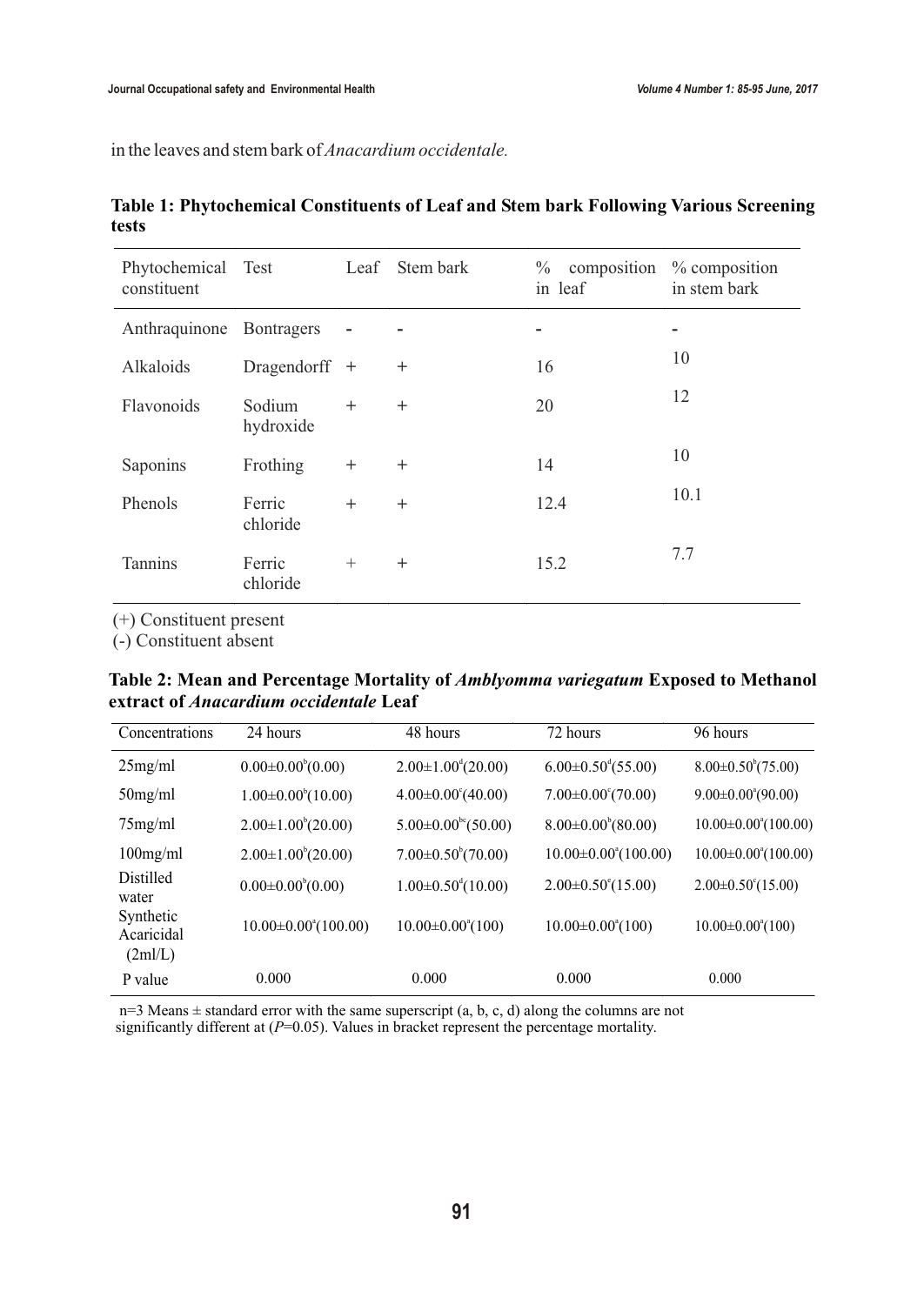in the leaves and stem bark of *Anacardium occidentale.*

| Phytochemical Test<br>constituent |                     |                | Leaf Stem bark | $\%$ composition $\%$ composition<br>in leaf | in stem bark |
|-----------------------------------|---------------------|----------------|----------------|----------------------------------------------|--------------|
| Anthraquinone Bontragers          |                     | $\blacksquare$ |                | -                                            | ۰            |
| Alkaloids                         | Dragendorff +       |                | $^{+}$         | 16                                           | 10           |
| Flavonoids                        | Sodium<br>hydroxide | $+$            | $+$            | 20                                           | 12           |
| Saponins                          | Frothing            | $^{+}$         | $^{+}$         | 14                                           | 10           |
| Phenols                           | Ferric<br>chloride  | $+$            | $^{+}$         | 12.4                                         | 10.1         |
| <b>Tannins</b>                    | Ferric<br>chloride  | $+$            | $^{+}$         | 15.2                                         | 7.7          |

**Table 1: Phytochemical Constituents of Leaf and Stem bark Following Various Screening tests**

(+) Constituent present

(-) Constituent absent

**Table 2: Mean and Percentage Mortality of** *Amblyomma variegatum* **Exposed to Methanol extract of** *Anacardium occidentale* **Leaf**

| Concentrations                     | 24 hours                          | 48 hours                               | 72 hours                          | 96 hours                          |
|------------------------------------|-----------------------------------|----------------------------------------|-----------------------------------|-----------------------------------|
| 25mg/ml                            | $0.00\pm0.00^{b}(0.00)$           | $2.00\pm1.00^{d}(20.00)$               | $6.00 \pm 0.50^{d} (55.00)$       | $8.00\pm0.50^{\circ}(75.00)$      |
| $50$ mg/ml                         | $1.00\pm0.00^{b}(10.00)$          | $4.00 \pm 0.00^{\circ} (40.00)$        | $7.00 \pm 0.00^{\circ} (70.00)$   | $9.00 \pm 0.00^{\circ}(90.00)$    |
| $75$ mg/ml                         | $2.00\pm1.00^{b}(20.00)$          | $5.00 \pm 0.00^{\rm bc} (50.00)$       | $8.00\pm0.00^{6}(80.00)$          | $10.00 \pm 0.00^{\circ} (100.00)$ |
| $100$ mg/ml                        | $2.00\pm1.00^{b}(20.00)$          | $7.00\pm0.50^{\circ}(70.00)$           | $10.00 \pm 0.00^{\circ} (100.00)$ | $10.00 \pm 0.00^{\circ} (100.00)$ |
| <b>Distilled</b><br>water          | $0.00\pm0.00^{6}(0.00)$           | $1.00 \pm 0.50$ <sup>d</sup> $(10.00)$ | $2.00\pm0.50^{\circ}(15.00)$      | $2.00\pm0.50^{\circ}(15.00)$      |
| Synthetic<br>Acaricidal<br>(2ml/L) | $10.00 \pm 0.00^{\circ} (100.00)$ | $10.00 \pm 0.00^{\circ} (100)$         | $10.00 \pm 0.00^{\circ} (100)$    | $10.00 \pm 0.00^{\circ} (100)$    |
| P value                            | 0.000                             | 0.000                                  | 0.000                             | 0.000                             |

 n=3 Means ± standard error with the same superscript (a, b, c, d) along the columns are not significantly different at ( $P=0.05$ ). Values in bracket represent the percentage mortality.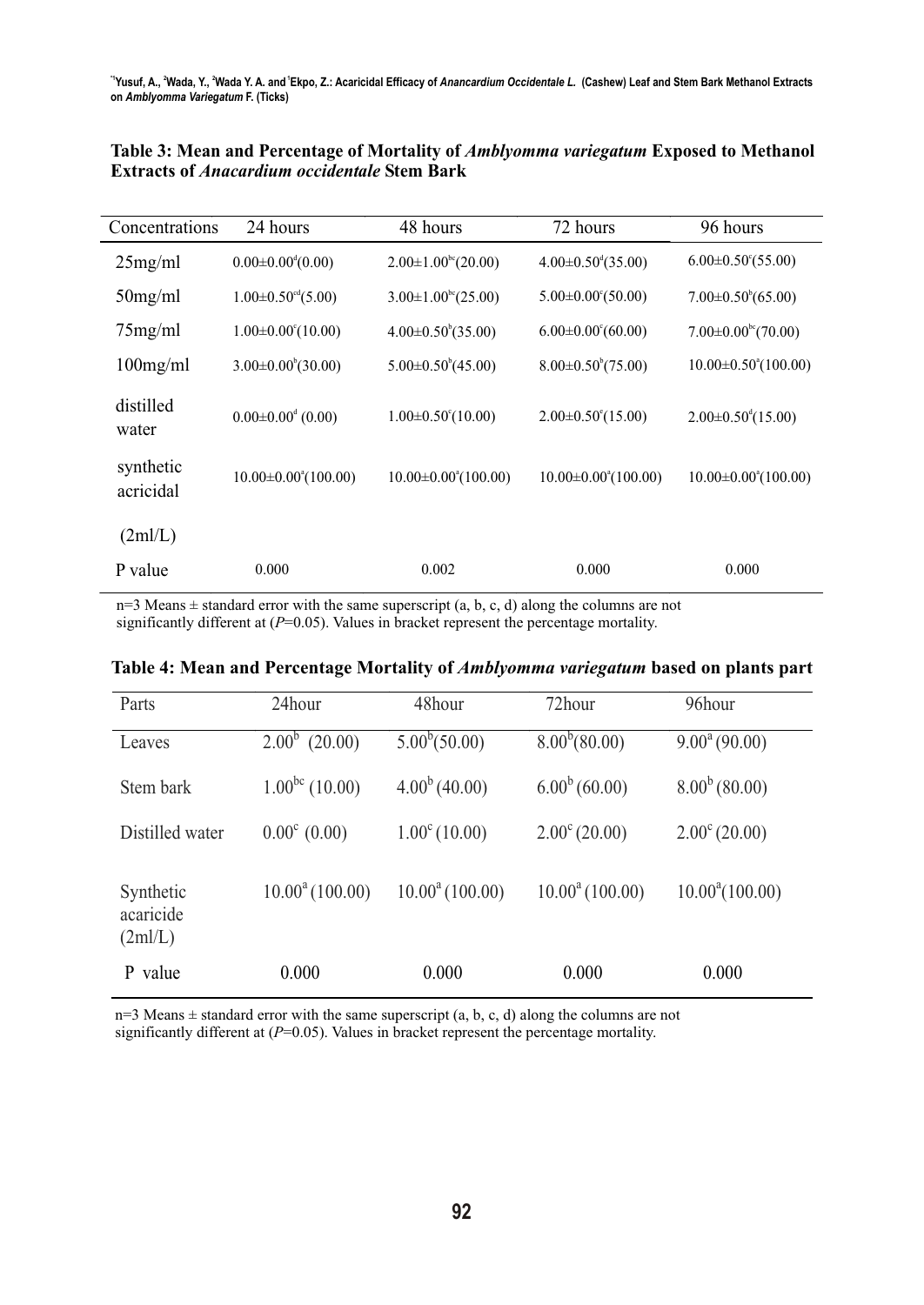| Concentrations         | 24 hours                               | 48 hours                                | 72 hours                          | 96 hours                          |
|------------------------|----------------------------------------|-----------------------------------------|-----------------------------------|-----------------------------------|
| 25mg/ml                | $0.00 \pm 0.00$ <sup>d</sup> $(0.00)$  | $2.00\pm1.00^{\rm bc}$ (20.00)          | $4.00 \pm 0.50^{\circ} (35.00)$   | $6.00 \pm 0.50^{\circ} (55.00)$   |
| $50$ mg/ml             | $1.00 \pm 0.50$ <sup>cd</sup> $(5.00)$ | $3.00 \pm 1.00$ <sup>bc</sup> $(25.00)$ | $5.00 \pm 0.00^{\circ} (50.00)$   | $7.00\pm0.50^{b}(65.00)$          |
| $75$ mg/ml             | $1.00 \pm 0.00^{\circ} (10.00)$        | $4.00 \pm 0.50^{\circ} (35.00)$         | $6.00 \pm 0.00^{\circ} (60.00)$   | $7.00\pm0.00^{\rm bc}$ (70.00)    |
| $100$ mg/ml            | $3.00\pm0.00^{6}$ (30.00)              | $5.00\pm0.50^{\circ}(45.00)$            | $8.00\pm0.50^{\circ}(75.00)$      | $10.00 \pm 0.50^{\circ}(100.00)$  |
| distilled<br>water     | $0.00 \pm 0.00$ <sup>d</sup> (0.00)    | $1.00 \pm 0.50^{\circ}(10.00)$          | $2.00 \pm 0.50^{\circ}(15.00)$    | $2.00\pm0.50^{d}(15.00)$          |
| synthetic<br>acricidal | $10.00 \pm 0.00^{\circ} (100.00)$      | $10.00 \pm 0.00^{\circ} (100.00)$       | $10.00 \pm 0.00^{\circ} (100.00)$ | $10.00 \pm 0.00^{\circ} (100.00)$ |
| (2m/L)                 |                                        |                                         |                                   |                                   |
| P value                | 0.000                                  | 0.002                                   | 0.000                             | 0.000                             |

**Table 3: Mean and Percentage of Mortality of** *Amblyomma variegatum* **Exposed to Methanol Extracts of** *Anacardium occidentale* **Stem Bark**

 $n=3$  Means  $\pm$  standard error with the same superscript (a, b, c, d) along the columns are not significantly different at ( $P=0.05$ ). Values in bracket represent the percentage mortality.

| Parts                            | 24hour                | 48hour                 | 72hour                 | 96hour                   |
|----------------------------------|-----------------------|------------------------|------------------------|--------------------------|
| Leaves                           | $2.00^{b}$<br>(20.00) | $5.00^b(50.00)$        | $8.00^{b} (80.00)$     | $9.00^{\circ}$ (90.00)   |
| Stem bark                        | $1.00^{bc}$ (10.00)   | $4.00^{b}$ (40.00)     | $6.00^{b} (60.00)$     | $8.00^{b}$ (80.00)       |
| Distilled water                  | $0.00^{\circ}$ (0.00) | $1.00^{\circ}$ (10.00) | $2.00^{\circ}$ (20.00) | $2.00^{\circ}$ (20.00)   |
| Synthetic<br>acaricide<br>(2m/L) | $10.00^a(100.00)$     | $10.00^a(100.00)$      | $10.00^a(100.00)$      | $10.00^{\circ} (100.00)$ |
| value<br>P                       | 0.000                 | 0.000                  | 0.000                  | 0.000                    |

**Table 4: Mean and Percentage Mortality of** *Amblyomma variegatum* **based on plants part**

 $n=3$  Means  $\pm$  standard error with the same superscript (a, b, c, d) along the columns are not significantly different at (*P*=0.05). Values in bracket represent the percentage mortality.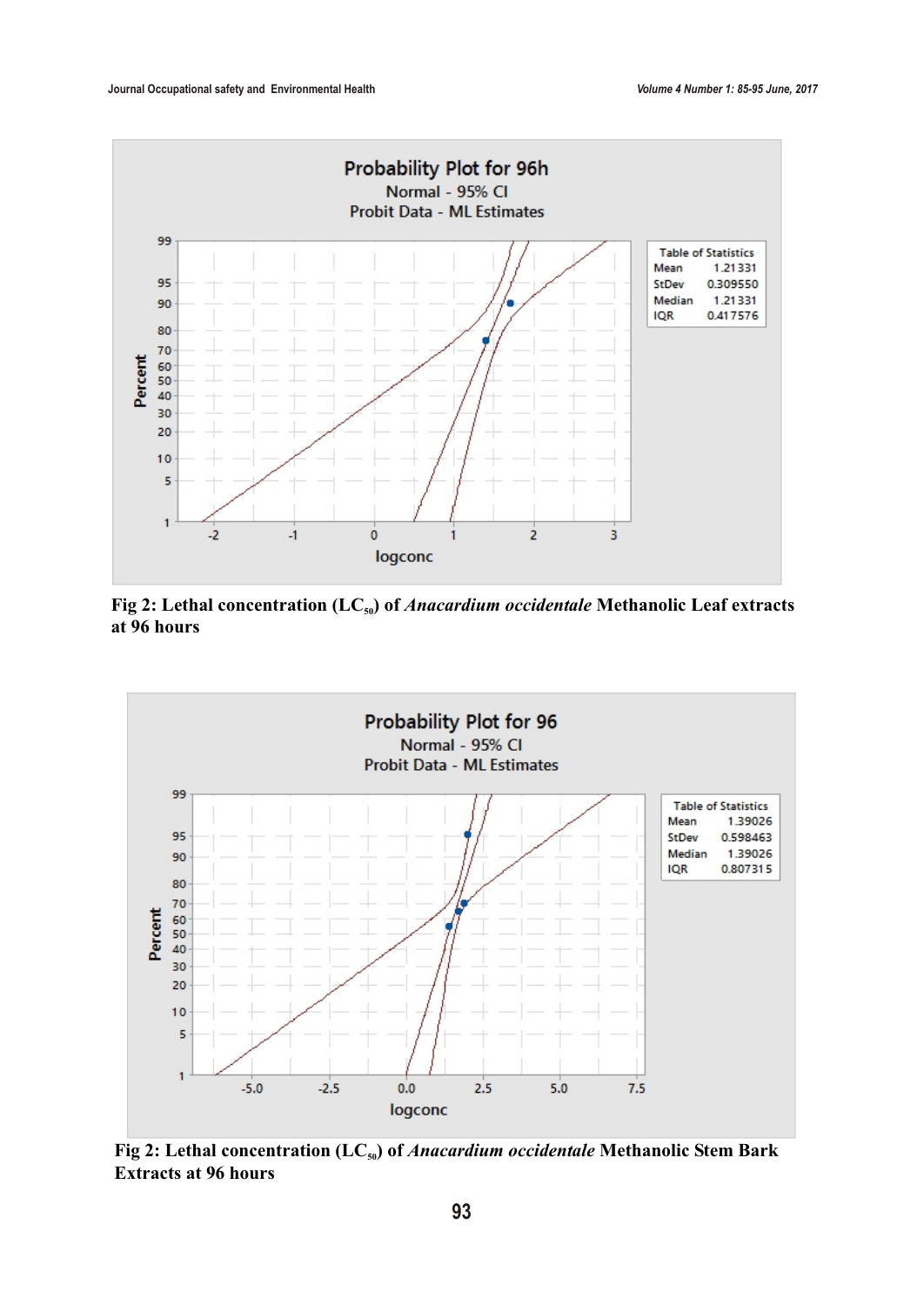

Fig 2: Lethal concentration (LC<sub>50</sub>) of *Anacardium occidentale* Methanolic Leaf extracts **at 96 hours**



**Fig 2: Lethal concentration (LC<sub>50</sub>) of** *Anacardium occidentale* **Methanolic Stem Bark Extracts at 96 hours**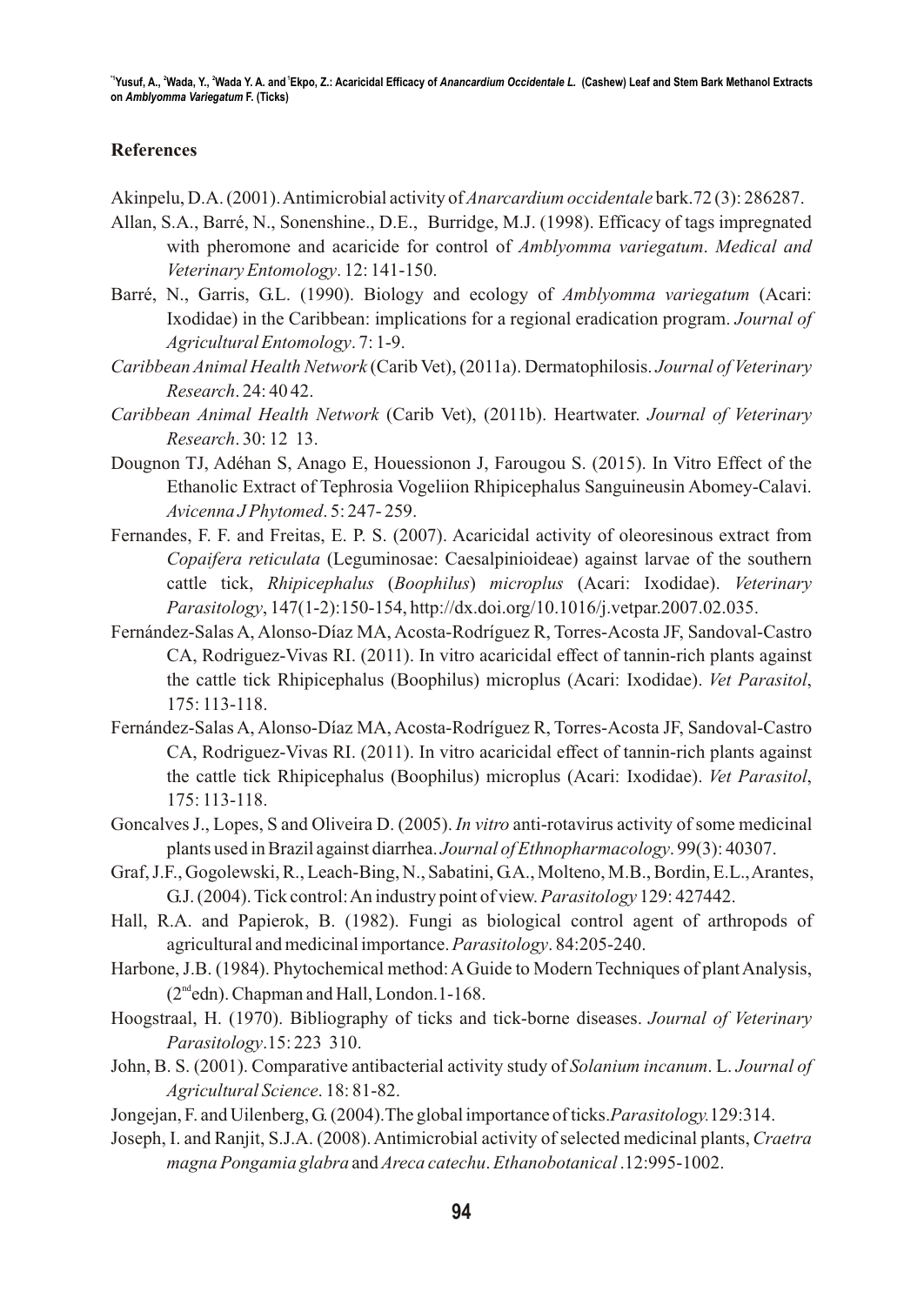# **References**

Akinpelu, D.A. (2001). Antimicrobial activity of *Anarcardium occidentale* bark.72 (3): 286287.

- Allan, S.A., Barré, N., Sonenshine., D.E., Burridge, M.J. (1998). Efficacy of tags impregnated with pheromone and acaricide for control of *Amblyomma variegatum*. *Medical and Veterinary Entomology*. 12: 141-150.
- Barré, N., Garris, G.L. (1990). Biology and ecology of *Amblyomma variegatum* (Acari: Ixodidae) in the Caribbean: implications for a regional eradication program. *Journal of Agricultural Entomology*. 7: 1-9.
- *Caribbean Animal Health Network* (Carib Vet), (2011a). Dermatophilosis. *Journal of Veterinary Research*. 24: 40 42.
- *Caribbean Animal Health Network* (Carib Vet), (2011b). Heartwater. *Journal of Veterinary Research*. 30: 12 13.
- Dougnon TJ, Adéhan S, Anago E, Houessionon J, Farougou S. (2015). In Vitro Effect of the Ethanolic Extract of Tephrosia Vogeliion Rhipicephalus Sanguineusin Abomey-Calavi. *Avicenna J Phytomed*. 5: 247- 259.
- Fernandes, F. F. and Freitas, E. P. S. (2007). Acaricidal activity of oleoresinous extract from *Copaifera reticulata* (Leguminosae: Caesalpinioideae) against larvae of the southern cattle tick, *Rhipicephalus* (*Boophilus*) *microplus* (Acari: Ixodidae). *Veterinary Parasitology*, 147(1-2):150-154, http://dx.doi.org/10.1016/j.vetpar.2007.02.035.
- Fernández-Salas A, Alonso-Díaz MA, Acosta-Rodríguez R, Torres-Acosta JF, Sandoval-Castro CA, Rodriguez-Vivas RI. (2011). In vitro acaricidal effect of tannin-rich plants against the cattle tick Rhipicephalus (Boophilus) microplus (Acari: Ixodidae). *Vet Parasitol*, 175: 113-118.
- Fernández-Salas A, Alonso-Díaz MA, Acosta-Rodríguez R, Torres-Acosta JF, Sandoval-Castro CA, Rodriguez-Vivas RI. (2011). In vitro acaricidal effect of tannin-rich plants against the cattle tick Rhipicephalus (Boophilus) microplus (Acari: Ixodidae). *Vet Parasitol*, 175: 113-118.
- Goncalves J., Lopes, S and Oliveira D. (2005). *In vitro* anti-rotavirus activity of some medicinal plants used in Brazil against diarrhea. *Journal of Ethnopharmacology*. 99(3): 40307.
- Graf, J.F., Gogolewski, R., Leach-Bing, N., Sabatini, G.A., Molteno, M.B., Bordin, E.L., Arantes, G.J. (2004). Tick control: An industry point of view. *Parasitology* 129: 427442.
- Hall, R.A. and Papierok, B. (1982). Fungi as biological control agent of arthropods of agricultural and medicinal importance. *Parasitology*. 84:205-240.
- Harbone, J.B. (1984). Phytochemical method: A Guide to Modern Techniques of plant Analysis,  $(2<sup>nd</sup>edn)$ . Chapman and Hall, London. 1-168.
- Hoogstraal, H. (1970). Bibliography of ticks and tick-borne diseases. *Journal of Veterinary Parasitology*.15: 223 310.
- John, B. S. (2001). Comparative antibacterial activity study of *Solanium incanum*. L. *Journal of Agricultural Science*. 18: 81-82.
- Jongejan, F. and Uilenberg, G. (2004).The global importance of ticks.*Parasitology.*129:314.
- Joseph, I. and Ranjit, S.J.A. (2008). Antimicrobial activity of selected medicinal plants, *Craetra magna Pongamia glabra* and *Areca catechu*. *Ethanobotanical* .12:995-1002.